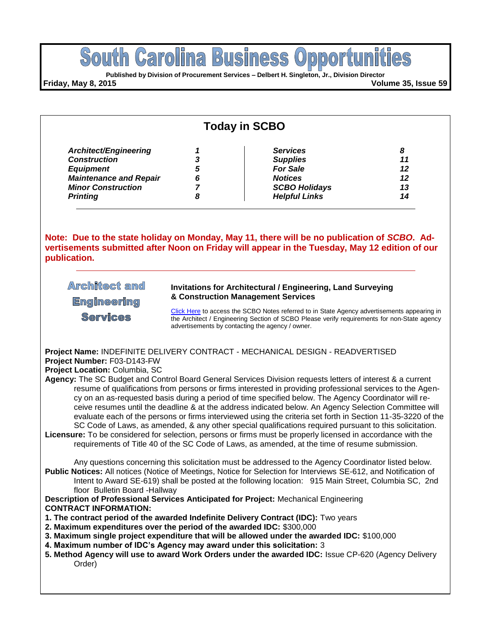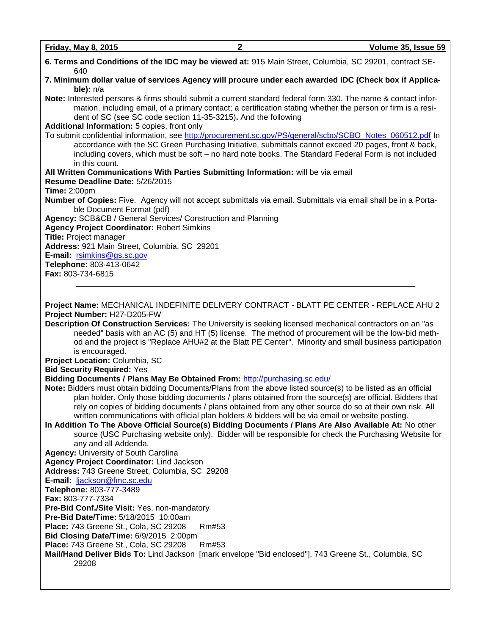| 6. Terms and Conditions of the IDC may be viewed at: 915 Main Street, Columbia, SC 29201, contract SE-<br>640                                                                                                                                                                                                                                   |
|-------------------------------------------------------------------------------------------------------------------------------------------------------------------------------------------------------------------------------------------------------------------------------------------------------------------------------------------------|
| 7. Minimum dollar value of services Agency will procure under each awarded IDC (Check box if Applica-<br>ble): $n/a$                                                                                                                                                                                                                            |
| Note: Interested persons & firms should submit a current standard federal form 330. The name & contact infor-<br>mation, including email, of a primary contact; a certification stating whether the person or firm is a resi-<br>dent of SC (see SC code section 11-35-3215). And the following<br>Additional Information: 5 copies, front only |
| To submit confidential information, see http://procurement.sc.gov/PS/general/scbo/SCBO_Notes_060512.pdf In<br>accordance with the SC Green Purchasing Initiative, submittals cannot exceed 20 pages, front & back,<br>including covers, which must be soft - no hard note books. The Standard Federal Form is not included<br>in this count.    |
| All Written Communications With Parties Submitting Information: will be via email                                                                                                                                                                                                                                                               |
| Resume Deadline Date: 5/26/2015<br><b>Time: 2:00pm</b>                                                                                                                                                                                                                                                                                          |
| Number of Copies: Five. Agency will not accept submittals via email. Submittals via email shall be in a Porta-<br>ble Document Format (pdf)                                                                                                                                                                                                     |
| Agency: SCB&CB / General Services/ Construction and Planning                                                                                                                                                                                                                                                                                    |
| <b>Agency Project Coordinator: Robert Simkins</b><br>Title: Project manager                                                                                                                                                                                                                                                                     |
| Address: 921 Main Street, Columbia, SC 29201                                                                                                                                                                                                                                                                                                    |
| E-mail: rsimkins@gs.sc.gov                                                                                                                                                                                                                                                                                                                      |
| Telephone: 803-413-0642                                                                                                                                                                                                                                                                                                                         |
| Fax: 803-734-6815                                                                                                                                                                                                                                                                                                                               |
|                                                                                                                                                                                                                                                                                                                                                 |
| Project Name: MECHANICAL INDEFINITE DELIVERY CONTRACT - BLATT PE CENTER - REPLACE AHU 2                                                                                                                                                                                                                                                         |
| Project Number: H27-D205-FW                                                                                                                                                                                                                                                                                                                     |
| Description Of Construction Services: The University is seeking licensed mechanical contractors on an "as                                                                                                                                                                                                                                       |
| needed" basis with an AC (5) and HT (5) license. The method of procurement will be the low-bid meth-<br>od and the project is "Replace AHU#2 at the Blatt PE Center". Minority and small business participation<br>is encouraged.                                                                                                               |
| Project Location: Columbia, SC                                                                                                                                                                                                                                                                                                                  |
| <b>Bid Security Required: Yes</b>                                                                                                                                                                                                                                                                                                               |
| Bidding Documents / Plans May Be Obtained From: http://purchasing.sc.edu/                                                                                                                                                                                                                                                                       |
| Note: Bidders must obtain bidding Documents/Plans from the above listed source(s) to be listed as an official                                                                                                                                                                                                                                   |
| plan holder. Only those bidding documents / plans obtained from the source(s) are official. Bidders that<br>rely on copies of bidding documents / plans obtained from any other source do so at their own risk. All                                                                                                                             |
| written communications with official plan holders & bidders will be via email or website posting.                                                                                                                                                                                                                                               |
| In Addition To The Above Official Source(s) Bidding Documents / Plans Are Also Available At: No other                                                                                                                                                                                                                                           |
| source (USC Purchasing website only). Bidder will be responsible for check the Purchasing Website for                                                                                                                                                                                                                                           |
| any and all Addenda.                                                                                                                                                                                                                                                                                                                            |
| Agency: University of South Carolina<br>Agency Project Coordinator: Lind Jackson                                                                                                                                                                                                                                                                |
| Address: 743 Greene Street, Columbia, SC 29208                                                                                                                                                                                                                                                                                                  |
| E-mail: ljackson@fmc.sc.edu                                                                                                                                                                                                                                                                                                                     |
|                                                                                                                                                                                                                                                                                                                                                 |
| Telephone: 803-777-3489                                                                                                                                                                                                                                                                                                                         |
| Fax: 803-777-7334<br>Pre-Bid Conf./Site Visit: Yes, non-mandatory                                                                                                                                                                                                                                                                               |

**Pre-Bid Date/Time:** 5/18/2015 10:00am

**Place:** 743 Greene St., Cola, SC 29208 Rm#53

**Bid Closing Date/Time:** 6/9/2015 2:00pm

**Place:** 743 Greene St., Cola, SC 29208 Rm#53

**Mail/Hand Deliver Bids To:** Lind Jackson [mark envelope "Bid enclosed"], 743 Greene St., Columbia, SC 29208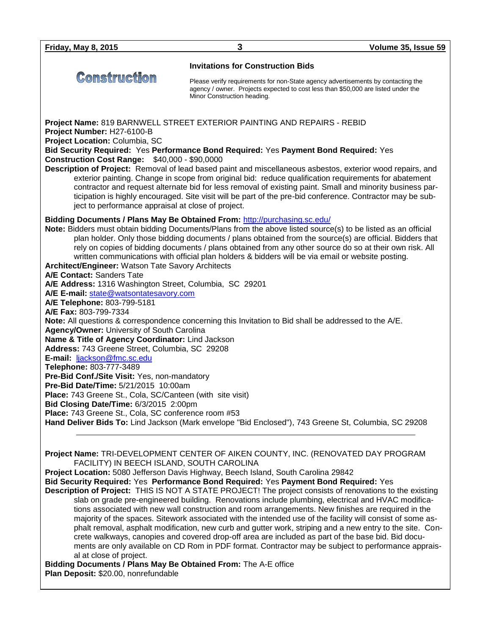# Comstruction

#### **Invitations for Construction Bids**

Please verify requirements for non-State agency advertisements by contacting the agency / owner. Projects expected to cost less than \$50,000 are listed under the Minor Construction heading.

**Project Name:** 819 BARNWELL STREET EXTERIOR PAINTING AND REPAIRS - REBID

**Project Number:** H27-6100-B

**Project Location:** Columbia, SC

**Bid Security Required:** Yes **Performance Bond Required:** Yes **Payment Bond Required:** Yes **Construction Cost Range:** \$40,000 - \$90,0000

**Description of Project:** Removal of lead based paint and miscellaneous asbestos, exterior wood repairs, and exterior painting. Change in scope from original bid: reduce qualification requirements for abatement contractor and request alternate bid for less removal of existing paint. Small and minority business participation is highly encouraged. Site visit will be part of the pre-bid conference. Contractor may be subject to performance appraisal at close of project.

### **Bidding Documents / Plans May Be Obtained From:** <http://purchasing.sc.edu/>

**Note:** Bidders must obtain bidding Documents/Plans from the above listed source(s) to be listed as an official plan holder. Only those bidding documents / plans obtained from the source(s) are official. Bidders that rely on copies of bidding documents / plans obtained from any other source do so at their own risk. All written communications with official plan holders & bidders will be via email or website posting. **Architect/Engineer:** Watson Tate Savory Architects **A/E Contact:** Sanders Tate **A/E Address:** 1316 Washington Street, Columbia, SC 29201 **A/E E-mail:** [state@watsontatesavory.com](mailto:state@watsontatesavory.com) **A/E Telephone:** 803-799-5181 **A/E Fax:** 803-799-7334 **Note:** All questions & correspondence concerning this Invitation to Bid shall be addressed to the A/E. **Agency/Owner:** University of South Carolina **Name & Title of Agency Coordinator:** Lind Jackson **Address:** 743 Greene Street, Columbia, SC 29208 **E-mail:** [ljackson@fmc.sc.edu](mailto:ljackson@fmc.sc.edu) **Telephone:** 803-777-3489 **Pre-Bid Conf./Site Visit:** Yes, non-mandatory **Pre-Bid Date/Time:** 5/21/2015 10:00am **Place:** 743 Greene St., Cola, SC/Canteen (with site visit) **Bid Closing Date/Time:** 6/3/2015 2:00pm **Place:** 743 Greene St., Cola, SC conference room #53 **Hand Deliver Bids To:** Lind Jackson (Mark envelope "Bid Enclosed"), 743 Greene St, Columbia, SC 29208

**Project Name:** TRI-DEVELOPMENT CENTER OF AIKEN COUNTY, INC. (RENOVATED DAY PROGRAM FACILITY) IN BEECH ISLAND, SOUTH CAROLINA

**Project Location:** 5080 Jefferson Davis Highway, Beech Island, South Carolina 29842 **Bid Security Required:** Yes **Performance Bond Required:** Yes **Payment Bond Required:** Yes **Description of Project:** THIS IS NOT A STATE PROJECT! The project consists of renovations to the existing slab on grade pre-engineered building. Renovations include plumbing, electrical and HVAC modifications associated with new wall construction and room arrangements. New finishes are required in the majority of the spaces. Sitework associated with the intended use of the facility will consist of some asphalt removal, asphalt modification, new curb and gutter work, striping and a new entry to the site. Concrete walkways, canopies and covered drop-off area are included as part of the base bid. Bid documents are only available on CD Rom in PDF format. Contractor may be subject to performance appraisal at close of project.

**Bidding Documents / Plans May Be Obtained From:** The A-E office **Plan Deposit:** \$20.00, nonrefundable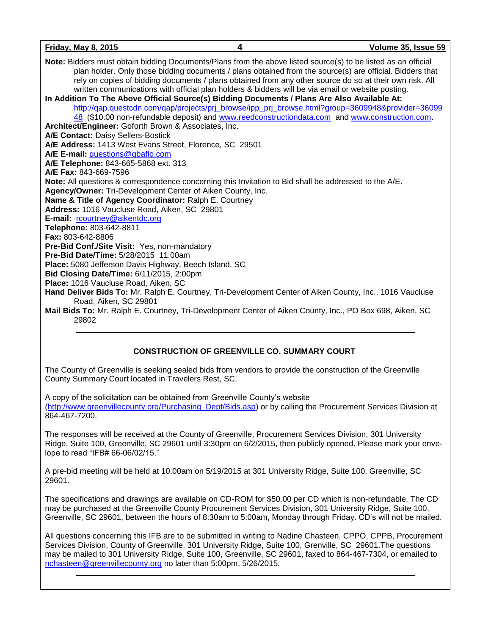| <u>Friday, May 8, 2015</u>                                 | 4                                                                                                                                                                                                                                                                                                                             | Volume 35, Issue 59                                                                                      |
|------------------------------------------------------------|-------------------------------------------------------------------------------------------------------------------------------------------------------------------------------------------------------------------------------------------------------------------------------------------------------------------------------|----------------------------------------------------------------------------------------------------------|
|                                                            | Note: Bidders must obtain bidding Documents/Plans from the above listed source(s) to be listed as an official<br>rely on copies of bidding documents / plans obtained from any other source do so at their own risk. All<br>written communications with official plan holders & bidders will be via email or website posting. | plan holder. Only those bidding documents / plans obtained from the source(s) are official. Bidders that |
|                                                            | In Addition To The Above Official Source(s) Bidding Documents / Plans Are Also Available At:                                                                                                                                                                                                                                  |                                                                                                          |
|                                                            |                                                                                                                                                                                                                                                                                                                               | http://qap.questcdn.com/qap/projects/prj_browse/ipp_prj_browse.html?group=3609948&provider=36099         |
| Architect/Engineer: Goforth Brown & Associates, Inc.       | 48 (\$10.00 non-refundable deposit) and www.reedconstructiondata.com and www.construction.com.                                                                                                                                                                                                                                |                                                                                                          |
| A/E Contact: Daisy Sellers-Bostick                         |                                                                                                                                                                                                                                                                                                                               |                                                                                                          |
| A/E Address: 1413 West Evans Street, Florence, SC 29501    |                                                                                                                                                                                                                                                                                                                               |                                                                                                          |
| A/E E-mail: questions@gbaflo.com                           |                                                                                                                                                                                                                                                                                                                               |                                                                                                          |
| A/E Telephone: 843-665-5868 ext. 313                       |                                                                                                                                                                                                                                                                                                                               |                                                                                                          |
| A/E Fax: 843-669-7596                                      |                                                                                                                                                                                                                                                                                                                               |                                                                                                          |
|                                                            | Note: All questions & correspondence concerning this Invitation to Bid shall be addressed to the A/E.                                                                                                                                                                                                                         |                                                                                                          |
| Agency/Owner: Tri-Development Center of Aiken County, Inc. |                                                                                                                                                                                                                                                                                                                               |                                                                                                          |
| Name & Title of Agency Coordinator: Ralph E. Courtney      |                                                                                                                                                                                                                                                                                                                               |                                                                                                          |
| Address: 1016 Vaucluse Road, Aiken, SC 29801               |                                                                                                                                                                                                                                                                                                                               |                                                                                                          |
| E-mail: rcourtney@aikentdc.org                             |                                                                                                                                                                                                                                                                                                                               |                                                                                                          |
| Telephone: 803-642-8811                                    |                                                                                                                                                                                                                                                                                                                               |                                                                                                          |
| <b>Fax: 803-642-8806</b>                                   |                                                                                                                                                                                                                                                                                                                               |                                                                                                          |
| Pre-Bid Conf./Site Visit: Yes, non-mandatory               |                                                                                                                                                                                                                                                                                                                               |                                                                                                          |
| Pre-Bid Date/Time: 5/28/2015 11:00am                       |                                                                                                                                                                                                                                                                                                                               |                                                                                                          |
| Place: 5080 Jefferson Davis Highway, Beech Island, SC      |                                                                                                                                                                                                                                                                                                                               |                                                                                                          |
| Bid Closing Date/Time: 6/11/2015, 2:00pm                   |                                                                                                                                                                                                                                                                                                                               |                                                                                                          |
| Place: 1016 Vaucluse Road, Aiken, SC                       |                                                                                                                                                                                                                                                                                                                               |                                                                                                          |
| Road, Aiken, SC 29801                                      | Hand Deliver Bids To: Mr. Ralph E. Courtney, Tri-Development Center of Aiken County, Inc., 1016 Vaucluse                                                                                                                                                                                                                      |                                                                                                          |
| 29802                                                      | Mail Bids To: Mr. Ralph E. Courtney, Tri-Development Center of Aiken County, Inc., PO Box 698, Aiken, SC                                                                                                                                                                                                                      |                                                                                                          |

### **CONSTRUCTION OF GREENVILLE CO. SUMMARY COURT**

The County of Greenville is seeking sealed bids from vendors to provide the construction of the Greenville County Summary Court located in Travelers Rest, SC.

A copy of the solicitation can be obtained from Greenville County's website [\(http://www.greenvillecounty.org/Purchasing\\_Dept/Bids.asp\)](http://www.greenvillecounty.org/Purchasing_Dept/Bids.asp) or by calling the Procurement Services Division at 864-467-7200.

The responses will be received at the County of Greenville, Procurement Services Division, 301 University Ridge, Suite 100, Greenville, SC 29601 until 3:30pm on 6/2/2015, then publicly opened. Please mark your envelope to read "IFB# 66-06/02/15."

A pre-bid meeting will be held at 10:00am on 5/19/2015 at 301 University Ridge, Suite 100, Greenville, SC 29601.

The specifications and drawings are available on CD-ROM for \$50.00 per CD which is non-refundable. The CD may be purchased at the Greenville County Procurement Services Division, 301 University Ridge, Suite 100, Greenville, SC 29601, between the hours of 8:30am to 5:00am, Monday through Friday. CD's will not be mailed.

All questions concerning this IFB are to be submitted in writing to Nadine Chasteen, CPPO, CPPB, Procurement Services Division, County of Greenville, 301 University Ridge, Suite 100, Grenville, SC 29601.The questions may be mailed to 301 University Ridge, Suite 100, Greenville, SC 29601, faxed to 864-467-7304, or emailed to [nchasteen@greenvillecounty.org](mailto:nchasteen@greenvillecounty.org) no later than 5:00pm, 5/26/2015.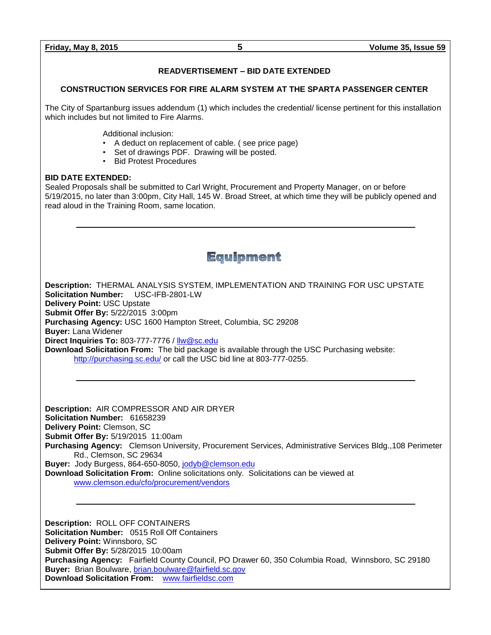### **READVERTISEMENT – BID DATE EXTENDED**

#### **CONSTRUCTION SERVICES FOR FIRE ALARM SYSTEM AT THE SPARTA PASSENGER CENTER**

The City of Spartanburg issues addendum (1) which includes the credential/ license pertinent for this installation which includes but not limited to Fire Alarms.

Additional inclusion:

- A deduct on replacement of cable. ( see price page)
- Set of drawings PDF. Drawing will be posted.
- Bid Protest Procedures

#### **BID DATE EXTENDED:**

Sealed Proposals shall be submitted to Carl Wright, Procurement and Property Manager, on or before 5/19/2015, no later than 3:00pm, City Hall, 145 W. Broad Street, at which time they will be publicly opened and read aloud in the Training Room, same location.

**Equipment** 

**Description:** THERMAL ANALYSIS SYSTEM, IMPLEMENTATION AND TRAINING FOR USC UPSTATE **Solicitation Number:** USC-IFB-2801-LW **Delivery Point:** USC Upstate **Submit Offer By:** 5/22/2015 3:00pm **Purchasing Agency:** USC 1600 Hampton Street, Columbia, SC 29208 **Buyer:** Lana Widener **Direct Inquiries To:** 803-777-7776 / [llw@sc.edu](mailto:llw@sc.edu) **Download Solicitation From:** The bid package is available through the USC Purchasing website: <http://purchasing.sc.edu/> or call the USC bid line at 803-777-0255.

**Description:** AIR COMPRESSOR AND AIR DRYER **Solicitation Number:** 61658239 **Delivery Point:** Clemson, SC **Submit Offer By:** 5/19/2015 11:00am **Purchasing Agency:** Clemson University, Procurement Services, Administrative Services Bldg.,108 Perimeter Rd., Clemson, SC 29634 **Buyer:** Jody Burgess, 864-650-8050, [jodyb@clemson.edu](mailto:jodyb@clemson.edu) **Download Solicitation From:** Online solicitations only. Solicitations can be viewed at

[www.clemson.edu/cfo/procurement/vendors](http://www.clemson.edu/cfo/procurement/vendors)

**Description:** ROLL OFF CONTAINERS **Solicitation Number:** 0515 Roll Off Containers **Delivery Point:** Winnsboro, SC **Submit Offer By:** 5/28/2015 10:00am **Purchasing Agency:** Fairfield County Council, PO Drawer 60, 350 Columbia Road, Winnsboro, SC 29180 **Buyer:** Brian Boulware, [brian.boulware@fairfield.sc.gov](mailto:brian.boulware@fairfield.sc.gov) **Download Solicitation From:** [www.fairfieldsc.com](http://www.fairfieldsc.com/)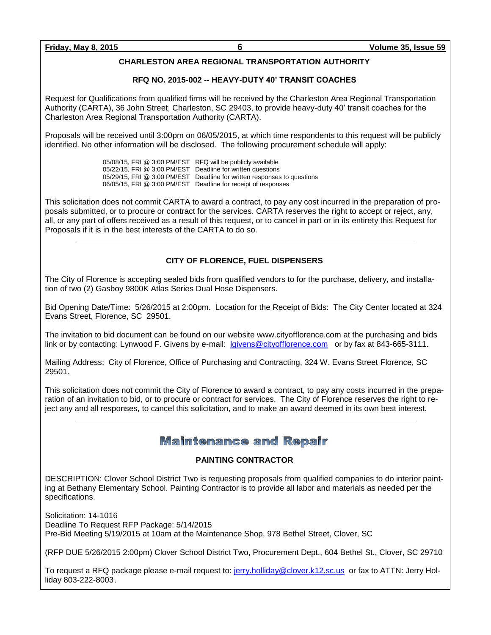#### **CHARLESTON AREA REGIONAL TRANSPORTATION AUTHORITY**

#### **RFQ NO. 2015-002 -- HEAVY-DUTY 40' TRANSIT COACHES**

Request for Qualifications from qualified firms will be received by the Charleston Area Regional Transportation Authority (CARTA), 36 John Street, Charleston, SC 29403, to provide heavy-duty 40' transit coaches for the Charleston Area Regional Transportation Authority (CARTA).

Proposals will be received until 3:00pm on 06/05/2015, at which time respondents to this request will be publicly identified. No other information will be disclosed. The following procurement schedule will apply:

> 05/08/15, FRI @ 3:00 PM/EST RFQ will be publicly available 05/22/15, FRI @ 3:00 PM/EST Deadline for written questions 05/29/15, FRI @ 3:00 PM/EST Deadline for written responses to questions 06/05/15, FRI @ 3:00 PM/EST Deadline for receipt of responses

This solicitation does not commit CARTA to award a contract, to pay any cost incurred in the preparation of proposals submitted, or to procure or contract for the services. CARTA reserves the right to accept or reject, any, all, or any part of offers received as a result of this request, or to cancel in part or in its entirety this Request for Proposals if it is in the best interests of the CARTA to do so.

#### **CITY OF FLORENCE, FUEL DISPENSERS**

The City of Florence is accepting sealed bids from qualified vendors to for the purchase, delivery, and installation of two (2) Gasboy 9800K Atlas Series Dual Hose Dispensers.

Bid Opening Date/Time: 5/26/2015 at 2:00pm. Location for the Receipt of Bids: The City Center located at 324 Evans Street, Florence, SC 29501.

The invitation to bid document can be found on our website www.cityofflorence.com at the purchasing and bids link or by contacting: Lynwood F. Givens by e-mail: [lgivens@cityofflorence.com](mailto:lgivens@cityofflorence.com) or by fax at 843-665-3111.

Mailing Address: City of Florence, Office of Purchasing and Contracting, 324 W. Evans Street Florence, SC 29501.

This solicitation does not commit the City of Florence to award a contract, to pay any costs incurred in the preparation of an invitation to bid, or to procure or contract for services. The City of Florence reserves the right to reject any and all responses, to cancel this solicitation, and to make an award deemed in its own best interest.

## **Maintenance and Repair**

#### **PAINTING CONTRACTOR**

DESCRIPTION: Clover School District Two is requesting proposals from qualified companies to do interior painting at Bethany Elementary School. Painting Contractor is to provide all labor and materials as needed per the specifications.

Solicitation: 14-1016 Deadline To Request RFP Package: 5/14/2015 Pre-Bid Meeting 5/19/2015 at 10am at the Maintenance Shop, 978 Bethel Street, Clover, SC

(RFP DUE 5/26/2015 2:00pm) Clover School District Two, Procurement Dept., 604 Bethel St., Clover, SC 29710

To request a RFQ package please e-mail request to: [jerry.holliday@clover.k12.sc.us](mailto:jerry.holliday@clover.k12.sc.us) or fax to ATTN: Jerry Holliday 803-222-8003.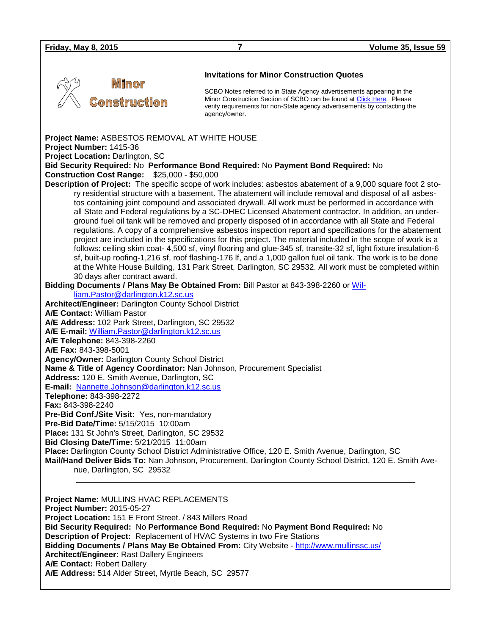| <b>Friday, May 8, 2015</b>                                                                                                                                                                                                                                                                                                                                                                                                                                                                                                                                                                                                                                                                                                                                                                                                                                                                                                                                                                                                                                                                                                                                                                                                                                                                                                                                                                                                                                                                                                                                                                                                                                                                                                                                                                                                                                                                                                                                                                                                                                                                                                                                                                                                                                                                                                                                                                                                                                                                                                                        | 7                                                                 | Volume 35, Issue 59                                                                                                                                                                                                          |  |  |
|---------------------------------------------------------------------------------------------------------------------------------------------------------------------------------------------------------------------------------------------------------------------------------------------------------------------------------------------------------------------------------------------------------------------------------------------------------------------------------------------------------------------------------------------------------------------------------------------------------------------------------------------------------------------------------------------------------------------------------------------------------------------------------------------------------------------------------------------------------------------------------------------------------------------------------------------------------------------------------------------------------------------------------------------------------------------------------------------------------------------------------------------------------------------------------------------------------------------------------------------------------------------------------------------------------------------------------------------------------------------------------------------------------------------------------------------------------------------------------------------------------------------------------------------------------------------------------------------------------------------------------------------------------------------------------------------------------------------------------------------------------------------------------------------------------------------------------------------------------------------------------------------------------------------------------------------------------------------------------------------------------------------------------------------------------------------------------------------------------------------------------------------------------------------------------------------------------------------------------------------------------------------------------------------------------------------------------------------------------------------------------------------------------------------------------------------------------------------------------------------------------------------------------------------------|-------------------------------------------------------------------|------------------------------------------------------------------------------------------------------------------------------------------------------------------------------------------------------------------------------|--|--|
|                                                                                                                                                                                                                                                                                                                                                                                                                                                                                                                                                                                                                                                                                                                                                                                                                                                                                                                                                                                                                                                                                                                                                                                                                                                                                                                                                                                                                                                                                                                                                                                                                                                                                                                                                                                                                                                                                                                                                                                                                                                                                                                                                                                                                                                                                                                                                                                                                                                                                                                                                   |                                                                   |                                                                                                                                                                                                                              |  |  |
| Minor<br><b>Construction</b>                                                                                                                                                                                                                                                                                                                                                                                                                                                                                                                                                                                                                                                                                                                                                                                                                                                                                                                                                                                                                                                                                                                                                                                                                                                                                                                                                                                                                                                                                                                                                                                                                                                                                                                                                                                                                                                                                                                                                                                                                                                                                                                                                                                                                                                                                                                                                                                                                                                                                                                      | <b>Invitations for Minor Construction Quotes</b><br>agency/owner. | SCBO Notes referred to in State Agency advertisements appearing in the<br>Minor Construction Section of SCBO can be found at Click Here. Please<br>verify requirements for non-State agency advertisements by contacting the |  |  |
| Project Name: ASBESTOS REMOVAL AT WHITE HOUSE<br>Project Number: 1415-36<br>Project Location: Darlington, SC<br>Bid Security Required: No Performance Bond Required: No Payment Bond Required: No<br><b>Construction Cost Range: \$25,000 - \$50,000</b><br>Description of Project: The specific scope of work includes: asbestos abatement of a 9,000 square foot 2 sto-<br>ry residential structure with a basement. The abatement will include removal and disposal of all asbes-<br>tos containing joint compound and associated drywall. All work must be performed in accordance with<br>all State and Federal regulations by a SC-DHEC Licensed Abatement contractor. In addition, an under-<br>ground fuel oil tank will be removed and properly disposed of in accordance with all State and Federal<br>regulations. A copy of a comprehensive asbestos inspection report and specifications for the abatement<br>project are included in the specifications for this project. The material included in the scope of work is a<br>follows: ceiling skim coat- 4,500 sf, vinyl flooring and glue-345 sf, transite-32 sf, light fixture insulation-6<br>sf, built-up roofing-1,216 sf, roof flashing-176 lf, and a 1,000 gallon fuel oil tank. The work is to be done<br>at the White House Building, 131 Park Street, Darlington, SC 29532. All work must be completed within<br>30 days after contract award.<br>Bidding Documents / Plans May Be Obtained From: Bill Pastor at 843-398-2260 or Wil-<br>liam.Pastor@darlington.k12.sc.us<br>Architect/Engineer: Darlington County School District<br><b>A/E Contact: William Pastor</b><br>A/E Address: 102 Park Street, Darlington, SC 29532<br>A/E E-mail: William.Pastor@darlington.k12.sc.us<br>A/E Telephone: 843-398-2260<br>A/E Fax: 843-398-5001<br><b>Agency/Owner: Darlington County School District</b><br>Name & Title of Agency Coordinator: Nan Johnson, Procurement Specialist<br>Address: 120 E. Smith Avenue, Darlington, SC<br>E-mail: Nannette.Johnson@darlington.k12.sc.us<br>Telephone: 843-398-2272<br>Fax: 843-398-2240<br>Pre-Bid Conf./Site Visit: Yes, non-mandatory<br>Pre-Bid Date/Time: 5/15/2015 10:00am<br>Place: 131 St John's Street, Darlington, SC 29532<br>Bid Closing Date/Time: 5/21/2015 11:00am<br>Place: Darlington County School District Administrative Office, 120 E. Smith Avenue, Darlington, SC<br>Mail/Hand Deliver Bids To: Nan Johnson, Procurement, Darlington County School District, 120 E. Smith Ave-<br>nue, Darlington, SC 29532 |                                                                   |                                                                                                                                                                                                                              |  |  |
| Project Name: MULLINS HVAC REPLACEMENTS<br>Project Number: 2015-05-27<br>Project Location: 151 E Front Street. / 843 Millers Road<br>Bid Security Required: No Performance Bond Required: No Payment Bond Required: No<br>Description of Project: Replacement of HVAC Systems in two Fire Stations<br>Bidding Documents / Plans May Be Obtained From: City Website - http://www.mullinssc.us/<br><b>Architect/Engineer: Rast Dallery Engineers</b><br>A/E Contact: Robert Dallery<br>A/E Address: 514 Alder Street, Myrtle Beach, SC 29577                                                                                                                                                                                                                                                                                                                                                                                                                                                                                                                                                                                                                                                                                                                                                                                                                                                                                                                                                                                                                                                                                                                                                                                                                                                                                                                                                                                                                                                                                                                                                                                                                                                                                                                                                                                                                                                                                                                                                                                                        |                                                                   |                                                                                                                                                                                                                              |  |  |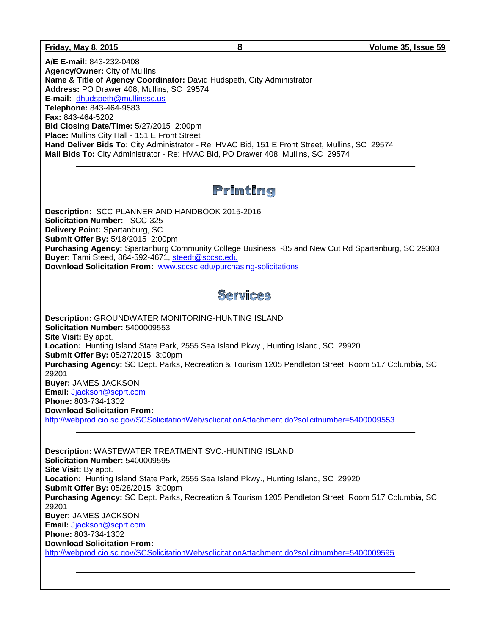**A/E E-mail:** 843-232-0408 **Agency/Owner:** City of Mullins **Name & Title of Agency Coordinator:** David Hudspeth, City Administrator **Address:** PO Drawer 408, Mullins, SC 29574 **E-mail:** [dhudspeth@mullinssc.us](mailto:dhudspeth@mullinssc.us) **Telephone:** 843-464-9583 **Fax:** 843-464-5202 **Bid Closing Date/Time:** 5/27/2015 2:00pm **Place:** Mullins City Hall - 151 E Front Street **Hand Deliver Bids To:** City Administrator - Re: HVAC Bid, 151 E Front Street, Mullins, SC 29574 **Mail Bids To:** City Administrator - Re: HVAC Bid, PO Drawer 408, Mullins, SC 29574

# Printing

**Description:** SCC PLANNER AND HANDBOOK 2015-2016 **Solicitation Number:** SCC-325 **Delivery Point:** Spartanburg, SC **Submit Offer By:** 5/18/2015 2:00pm **Purchasing Agency:** Spartanburg Community College Business I-85 and New Cut Rd Spartanburg, SC 29303 **Buyer:** Tami Steed, 864-592-4671, [steedt@sccsc.edu](mailto:steedt@sccsc.edu) **Download Solicitation From:** [www.sccsc.edu/purchasing-solicitations](http://www.sccsc.edu/purchasing-solicitations)

# Services

**Description:** GROUNDWATER MONITORING-HUNTING ISLAND **Solicitation Number:** 5400009553 **Site Visit:** By appt. **Location:** Hunting Island State Park, 2555 Sea Island Pkwy., Hunting Island, SC 29920 **Submit Offer By:** 05/27/2015 3:00pm **Purchasing Agency:** SC Dept. Parks, Recreation & Tourism 1205 Pendleton Street, Room 517 Columbia, SC 29201 **Buyer:** JAMES JACKSON **Email:** [Jjackson@scprt.com](mailto:Jjackson@scprt.com) **Phone:** 803-734-1302 **Download Solicitation From:** 

<http://webprod.cio.sc.gov/SCSolicitationWeb/solicitationAttachment.do?solicitnumber=5400009553>

**Description:** WASTEWATER TREATMENT SVC.-HUNTING ISLAND **Solicitation Number:** 5400009595 **Site Visit:** By appt. **Location:** Hunting Island State Park, 2555 Sea Island Pkwy., Hunting Island, SC 29920 **Submit Offer By:** 05/28/2015 3:00pm **Purchasing Agency:** SC Dept. Parks, Recreation & Tourism 1205 Pendleton Street, Room 517 Columbia, SC 29201 **Buyer:** JAMES JACKSON **Email:** [Jjackson@scprt.com](mailto:Jjackson@scprt.com) **Phone:** 803-734-1302 **Download Solicitation From:**  <http://webprod.cio.sc.gov/SCSolicitationWeb/solicitationAttachment.do?solicitnumber=5400009595>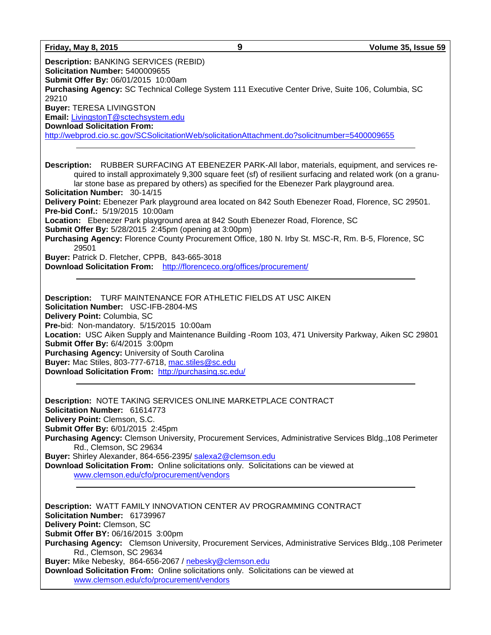| Volume 35, Issue 59 |  |  |
|---------------------|--|--|
|                     |  |  |

| <b>Friday, May 8, 2015</b>                                                                                                                                                                                                                 | 9                                                                                         | Volume 35, Issue 59                                                                                                                                                                                                    |
|--------------------------------------------------------------------------------------------------------------------------------------------------------------------------------------------------------------------------------------------|-------------------------------------------------------------------------------------------|------------------------------------------------------------------------------------------------------------------------------------------------------------------------------------------------------------------------|
| <b>Description: BANKING SERVICES (REBID)</b><br><b>Solicitation Number: 5400009655</b><br><b>Submit Offer By: 06/01/2015 10:00am</b><br>Purchasing Agency: SC Technical College System 111 Executive Center Drive, Suite 106, Columbia, SC |                                                                                           |                                                                                                                                                                                                                        |
| 29210                                                                                                                                                                                                                                      |                                                                                           |                                                                                                                                                                                                                        |
| <b>Buyer: TERESA LIVINGSTON</b>                                                                                                                                                                                                            |                                                                                           |                                                                                                                                                                                                                        |
| Email: LivingstonT@sctechsystem.edu                                                                                                                                                                                                        |                                                                                           |                                                                                                                                                                                                                        |
| <b>Download Solicitation From:</b>                                                                                                                                                                                                         |                                                                                           |                                                                                                                                                                                                                        |
| http://webprod.cio.sc.gov/SCSolicitationWeb/solicitationAttachment.do?solicitnumber=5400009655                                                                                                                                             |                                                                                           |                                                                                                                                                                                                                        |
| <b>Solicitation Number: 30-14/15</b>                                                                                                                                                                                                       | lar stone base as prepared by others) as specified for the Ebenezer Park playground area. | <b>Description:</b> RUBBER SURFACING AT EBENEZER PARK-All labor, materials, equipment, and services re-<br>quired to install approximately 9,300 square feet (sf) of resilient surfacing and related work (on a granu- |
| Delivery Point: Ebenezer Park playground area located on 842 South Ebenezer Road, Florence, SC 29501.<br><b>Pre-bid Conf.: 5/19/2015 10:00am</b>                                                                                           |                                                                                           |                                                                                                                                                                                                                        |
| <b>Location:</b> Ebenezer Park playground area at 842 South Ebenezer Road, Florence, SC<br><b>Submit Offer By:</b> 5/28/2015 2:45pm (opening at 3:00pm)                                                                                    |                                                                                           |                                                                                                                                                                                                                        |
| Purchasing Agency: Florence County Procurement Office, 180 N. Irby St. MSC-R, Rm. B-5, Florence, SC<br>29501                                                                                                                               |                                                                                           |                                                                                                                                                                                                                        |

**Buyer:** Patrick D. Fletcher, CPPB, 843-665-3018

**Download Solicitation From:** <http://florenceco.org/offices/procurement/>

**Description:** TURF MAINTENANCE FOR ATHLETIC FIELDS AT USC AIKEN **Solicitation Number:** USC-IFB-2804-MS **Delivery Point:** Columbia, SC **Pre-**bid: Non-mandatory. 5/15/2015 10:00am **Location:** USC Aiken Supply and Maintenance Building -Room 103, 471 University Parkway, Aiken SC 29801 **Submit Offer By:** 6/4/2015 3:00pm **Purchasing Agency:** University of South Carolina **Buyer:** Mac Stiles, 803-777-6718, [mac.stiles@sc.edu](mailto:mac.stiles@sc.edu) **Download Solicitation From:** <http://purchasing.sc.edu/>

**Description:** NOTE TAKING SERVICES ONLINE MARKETPLACE CONTRACT **Solicitation Number:** 61614773 **Delivery Point:** Clemson, S.C. **Submit Offer By:** 6/01/2015 2:45pm **Purchasing Agency:** Clemson University, Procurement Services, Administrative Services Bldg.,108 Perimeter Rd., Clemson, SC 29634 **Buyer:** Shirley Alexander, 864-656-2395/ [salexa2@clemson.edu](mailto:salexa2@clemson.edu) **Download Solicitation From:** Online solicitations only. Solicitations can be viewed at

[www.clemson.edu/cfo/procurement/vendors](http://www.clemson.edu/cfo/procurement/vendors)

**Description:** WATT FAMILY INNOVATION CENTER AV PROGRAMMING CONTRACT **Solicitation Number:** 61739967 **Delivery Point:** Clemson, SC **Submit Offer BY:** 06/16/2015 3:00pm **Purchasing Agency:** Clemson University, Procurement Services, Administrative Services Bldg.,108 Perimeter Rd., Clemson, SC 29634 **Buyer:** Mike Nebesky, 864-656-2067 / [nebesky@clemson.edu](mailto:nebesky@clemson.edu) **Download Solicitation From:** Online solicitations only. Solicitations can be viewed at

[www.clemson.edu/cfo/procurement/vendors](http://www.clemson.edu/cfo/procurement/vendors)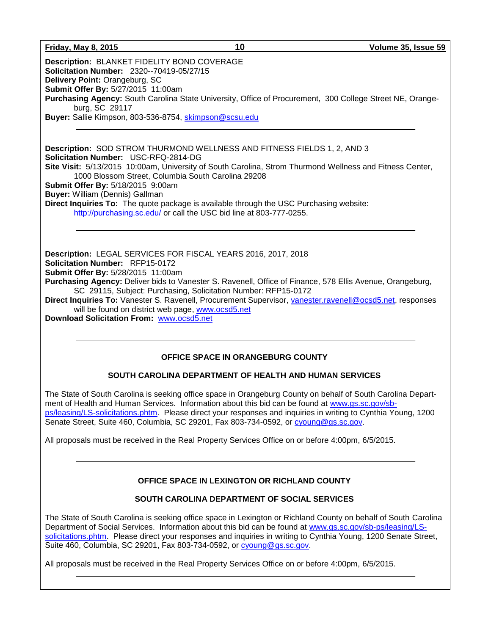**Description:** BLANKET FIDELITY BOND COVERAGE **Solicitation Number:** 2320--70419-05/27/15 **Delivery Point:** Orangeburg, SC **Submit Offer By:** 5/27/2015 11:00am **Purchasing Agency:** South Carolina State University, Office of Procurement, 300 College Street NE, Orangeburg, SC 29117 **Buyer:** Sallie Kimpson, 803-536-8754, [skimpson@scsu.edu](mailto:skimpson@scsu.edu)

**Description:** SOD STROM THURMOND WELLNESS AND FITNESS FIELDS 1, 2, AND 3 **Solicitation Number:** USC-RFQ-2814-DG **Site Visit:** 5/13/2015 10:00am, University of South Carolina, Strom Thurmond Wellness and Fitness Center, 1000 Blossom Street, Columbia South Carolina 29208 **Submit Offer By:** 5/18/2015 9:00am **Buyer:** William (Dennis) Gallman **Direct Inquiries To:** The quote package is available through the USC Purchasing website: <http://purchasing.sc.edu/> or call the USC bid line at 803-777-0255.

**Description:** LEGAL SERVICES FOR FISCAL YEARS 2016, 2017, 2018 **Solicitation Number:** RFP15-0172 **Submit Offer By:** 5/28/2015 11:00am **Purchasing Agency:** Deliver bids to Vanester S. Ravenell, Office of Finance, 578 Ellis Avenue, Orangeburg, SC 29115, Subject: Purchasing, Solicitation Number: RFP15-0172 **Direct Inquiries To:** Vanester S. Ravenell, Procurement Supervisor, [vanester.ravenell@ocsd5.net,](mailto:vanester.ravenell@ocsd5.net) responses will be found on district web page, [www.ocsd5.net](http://www.ocsd5.net/)

**Download Solicitation From:** [www.ocsd5.net](http://www.ocsd5.net/)

#### **OFFICE SPACE IN ORANGEBURG COUNTY**

#### **SOUTH CAROLINA DEPARTMENT OF HEALTH AND HUMAN SERVICES**

The State of South Carolina is seeking office space in Orangeburg County on behalf of South Carolina Department of Health and Human Services. Information about this bid can be found at [www.gs.sc.gov/sb](http://www.gs.sc.gov/sb-ps/leasing/LS-solicitations.phtm)[ps/leasing/LS-solicitations.phtm.](http://www.gs.sc.gov/sb-ps/leasing/LS-solicitations.phtm) Please direct your responses and inquiries in writing to Cynthia Young, 1200 Senate Street, Suite 460, Columbia, SC 29201, Fax 803-734-0592, or [cyoung@gs.sc.gov.](mailto:cyoung@gs.sc.gov)

All proposals must be received in the Real Property Services Office on or before 4:00pm, 6/5/2015.

### **OFFICE SPACE IN LEXINGTON OR RICHLAND COUNTY**

#### **SOUTH CAROLINA DEPARTMENT OF SOCIAL SERVICES**

The State of South Carolina is seeking office space in Lexington or Richland County on behalf of South Carolina Department of Social Services. Information about this bid can be found at [www.gs.sc.gov/sb-ps/leasing/LS](http://www.gs.sc.gov/sb-ps/leasing/LS-solicitations.phtm)[solicitations.phtm.](http://www.gs.sc.gov/sb-ps/leasing/LS-solicitations.phtm) Please direct your responses and inquiries in writing to Cynthia Young, 1200 Senate Street, Suite 460, Columbia, SC 29201, Fax 803-734-0592, or [cyoung@gs.sc.gov.](mailto:cyoung@gs.sc.gov)

All proposals must be received in the Real Property Services Office on or before 4:00pm, 6/5/2015.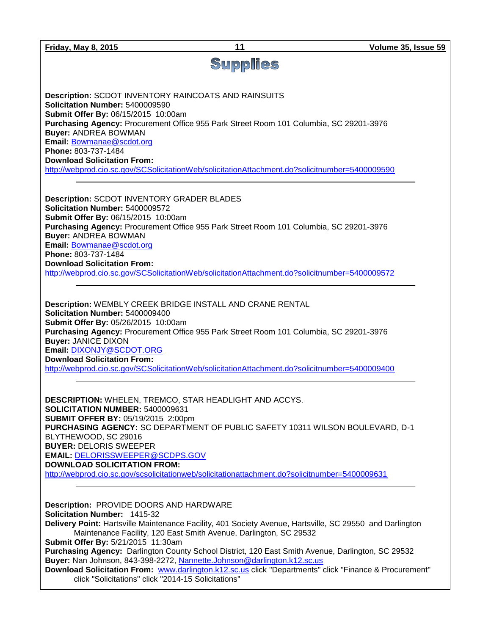| <b>Friday, May 8, 2015</b>                                                                                                                                             | 11                                                                                                                                                                                                                                                                                                                                            | Volume 35, Issue 59 |
|------------------------------------------------------------------------------------------------------------------------------------------------------------------------|-----------------------------------------------------------------------------------------------------------------------------------------------------------------------------------------------------------------------------------------------------------------------------------------------------------------------------------------------|---------------------|
|                                                                                                                                                                        | <b>Supplies</b>                                                                                                                                                                                                                                                                                                                               |                     |
| Solicitation Number: 5400009590<br>Submit Offer By: 06/15/2015 10:00am                                                                                                 | <b>Description: SCDOT INVENTORY RAINCOATS AND RAINSUITS</b><br>Purchasing Agency: Procurement Office 955 Park Street Room 101 Columbia, SC 29201-3976                                                                                                                                                                                         |                     |
| <b>Buyer: ANDREA BOWMAN</b><br>Email: Bowmanae@scdot.org<br>Phone: 803-737-1484<br><b>Download Solicitation From:</b>                                                  |                                                                                                                                                                                                                                                                                                                                               |                     |
|                                                                                                                                                                        | http://webprod.cio.sc.gov/SCSolicitationWeb/solicitationAttachment.do?solicitnumber=5400009590                                                                                                                                                                                                                                                |                     |
| <b>Description: SCDOT INVENTORY GRADER BLADES</b><br>Solicitation Number: 5400009572<br>Submit Offer By: 06/15/2015 10:00am                                            |                                                                                                                                                                                                                                                                                                                                               |                     |
| <b>Buyer: ANDREA BOWMAN</b><br>Email: Bowmanae@scdot.org<br>Phone: 803-737-1484                                                                                        | Purchasing Agency: Procurement Office 955 Park Street Room 101 Columbia, SC 29201-3976                                                                                                                                                                                                                                                        |                     |
| <b>Download Solicitation From:</b>                                                                                                                                     | http://webprod.cio.sc.gov/SCSolicitationWeb/solicitationAttachment.do?solicitnumber=5400009572                                                                                                                                                                                                                                                |                     |
| Solicitation Number: 5400009400<br>Submit Offer By: 05/26/2015 10:00am<br><b>Buyer: JANICE DIXON</b><br>Email: DIXONJY@SCDOT.ORG<br><b>Download Solicitation From:</b> | Description: WEMBLY CREEK BRIDGE INSTALL AND CRANE RENTAL<br>Purchasing Agency: Procurement Office 955 Park Street Room 101 Columbia, SC 29201-3976<br>http://webprod.cio.sc.gov/SCSolicitationWeb/solicitationAttachment.do?solicitnumber=5400009400                                                                                         |                     |
| <b>SOLICITATION NUMBER: 5400009631</b><br><b>SUBMIT OFFER BY: 05/19/2015 2:00pm</b><br>BLYTHEWOOD, SC 29016<br><b>BUYER: DELORIS SWEEPER</b>                           | DESCRIPTION: WHELEN, TREMCO, STAR HEADLIGHT AND ACCYS.<br>PURCHASING AGENCY: SC DEPARTMENT OF PUBLIC SAFETY 10311 WILSON BOULEVARD, D-1                                                                                                                                                                                                       |                     |
| <b>EMAIL: DELORISSWEEPER@SCDPS.GOV</b><br><b>DOWNLOAD SOLICITATION FROM:</b>                                                                                           | http://webprod.cio.sc.gov/scsolicitationweb/solicitationattachment.do?solicitnumber=5400009631                                                                                                                                                                                                                                                |                     |
| Description: PROVIDE DOORS AND HARDWARE<br>Solicitation Number: 1415-32<br>Submit Offer By: 5/21/2015 11:30am                                                          | Delivery Point: Hartsville Maintenance Facility, 401 Society Avenue, Hartsville, SC 29550 and Darlington<br>Maintenance Facility, 120 East Smith Avenue, Darlington, SC 29532                                                                                                                                                                 |                     |
|                                                                                                                                                                        | Purchasing Agency: Darlington County School District, 120 East Smith Avenue, Darlington, SC 29532<br>Buyer: Nan Johnson, 843-398-2272, Nannette.Johnson@darlington.k12.sc.us<br>Download Solicitation From: www.darlington.k12.sc.us click "Departments" click "Finance & Procurement"<br>click "Solicitations" click "2014-15 Solicitations" |                     |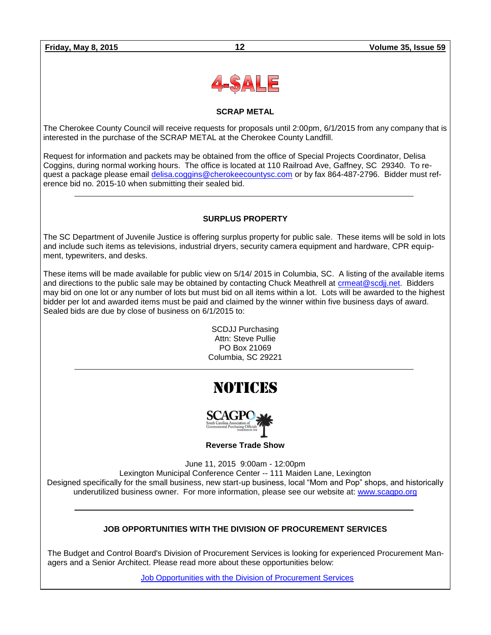

#### **SCRAP METAL**

The Cherokee County Council will receive requests for proposals until 2:00pm, 6/1/2015 from any company that is interested in the purchase of the SCRAP METAL at the Cherokee County Landfill.

Request for information and packets may be obtained from the office of Special Projects Coordinator, Delisa Coggins, during normal working hours. The office is located at 110 Railroad Ave, Gaffney, SC 29340. To request a package please email [delisa.coggins@cherokeecountysc.com](mailto:delisa.coggins@cherokeecountysc.com) or by fax 864-487-2796. Bidder must reference bid no. 2015-10 when submitting their sealed bid.

#### **SURPLUS PROPERTY**

The SC Department of Juvenile Justice is offering surplus property for public sale. These items will be sold in lots and include such items as televisions, industrial dryers, security camera equipment and hardware, CPR equipment, typewriters, and desks.

These items will be made available for public view on 5/14/ 2015 in Columbia, SC. A listing of the available items and directions to the public sale may be obtained by contacting Chuck Meathrell at crmeat@scdji.net. Bidders may bid on one lot or any number of lots but must bid on all items within a lot. Lots will be awarded to the highest bidder per lot and awarded items must be paid and claimed by the winner within five business days of award. Sealed bids are due by close of business on 6/1/2015 to:

> SCDJJ Purchasing Attn: Steve Pullie PO Box 21069 Columbia, SC 29221

# NOTICES



**Reverse Trade Show**

June 11, 2015 9:00am - 12:00pm

Lexington Municipal Conference Center -- 111 Maiden Lane, Lexington Designed specifically for the small business, new start-up business, local "Mom and Pop" shops, and historically underutilized business owner. For more information, please see our website at: [www.scagpo.org](http://www.scagpo.org/)

### **JOB OPPORTUNITIES WITH THE DIVISION OF PROCUREMENT SERVICES**

The Budget and Control Board's Division of Procurement Services is looking for experienced Procurement Managers and a Senior Architect. Please read more about these opportunities below:

[Job Opportunities with the Division of Procurement Services](http://procurement.sc.gov/webfiles/MMO_scbo/SCBO%20Online/DPS_procurement_opportunities.pdf)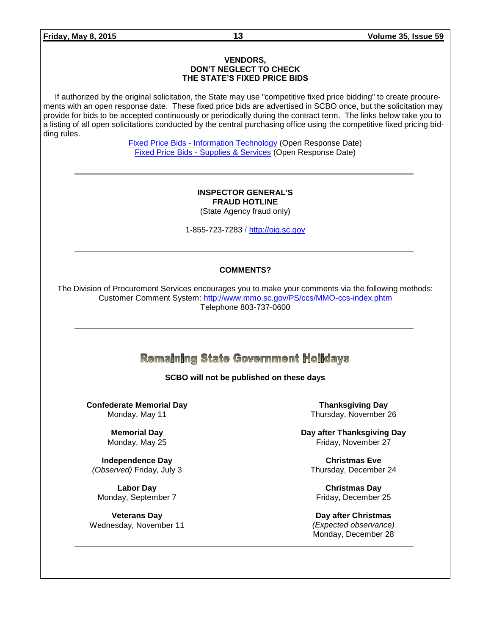#### **VENDORS, DON'T NEGLECT TO CHECK THE STATE'S FIXED PRICE BIDS**

If authorized by the original solicitation, the State may use "competitive fixed price bidding" to create procurements with an open response date. These fixed price bids are advertised in SCBO once, but the solicitation may provide for bids to be accepted continuously or periodically during the contract term. The links below take you to a listing of all open solicitations conducted by the central purchasing office using the competitive fixed pricing bidding rules.

> Fixed Price Bids - [Information Technology](http://www.mmo.sc.gov/PS/vendor/PS-vendor-fixed-price-bids-it.phtm) (Open Response Date) Fixed Price Bids - [Supplies & Services](http://www.mmo.sc.gov/PS/vendor/PS-vendor-fixed-price-bids-ss.phtm) (Open Response Date)

#### **INSPECTOR GENERAL'S FRAUD HOTLINE** (State Agency fraud only)

1-855-723-7283 / [http://oig.sc.gov](http://oig.sc.gov/)

#### **COMMENTS?**

The Division of Procurement Services encourages you to make your comments via the following methods: Customer Comment System:<http://www.mmo.sc.gov/PS/ccs/MMO-ccs-index.phtm> Telephone 803-737-0600

# **Remaining State Government Holidays**

#### **SCBO will not be published on these days**

**Confederate Memorial Day** Monday, May 11

> **Memorial Day** Monday, May 25

**Independence Day** *(Observed)* Friday, July 3

**Labor Day** Monday, September 7

**Veterans Day** Wednesday, November 11

**Thanksgiving Day** Thursday, November 26

**Day after Thanksgiving Day** Friday, November 27

**Christmas Eve** Thursday, December 24

**Christmas Day** Friday, December 25

**Day after Christmas** *(Expected observance)* Monday, December 28